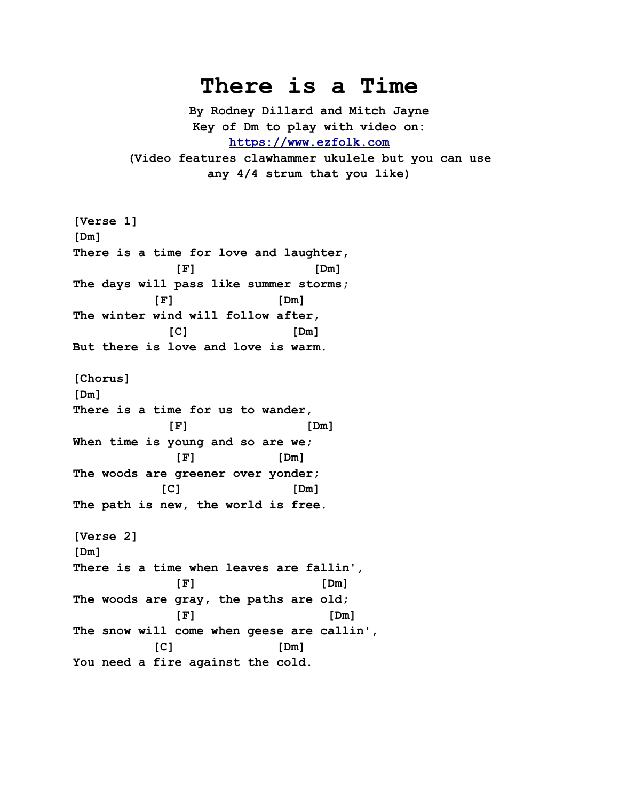## **There is a Time**

**By Rodney Dillard and Mitch Jayne Key of Dm to play with video on: [https://www.ezfolk.com](https://www.ezfolk.com/) (Video features clawhammer ukulele but you can use any 4/4 strum that you like)**

```
[Verse 1]
[Dm]
There is a time for love and laughter,
 [F] [Dm]
The days will pass like summer storms;
         [F] [Dm]
The winter wind will follow after,
 [C] [Dm]
But there is love and love is warm.
[Chorus]
[Dm]
There is a time for us to wander,
 [F] [Dm]
When time is young and so are we;
 [F] [Dm]
The woods are greener over yonder;
 [C] [Dm]
The path is new, the world is free.
[Verse 2]
[Dm]
There is a time when leaves are fallin',
 [F] [Dm]
The woods are gray, the paths are old;
 [F] [Dm]
The snow will come when geese are callin',
 [C] [Dm]
You need a fire against the cold.
```